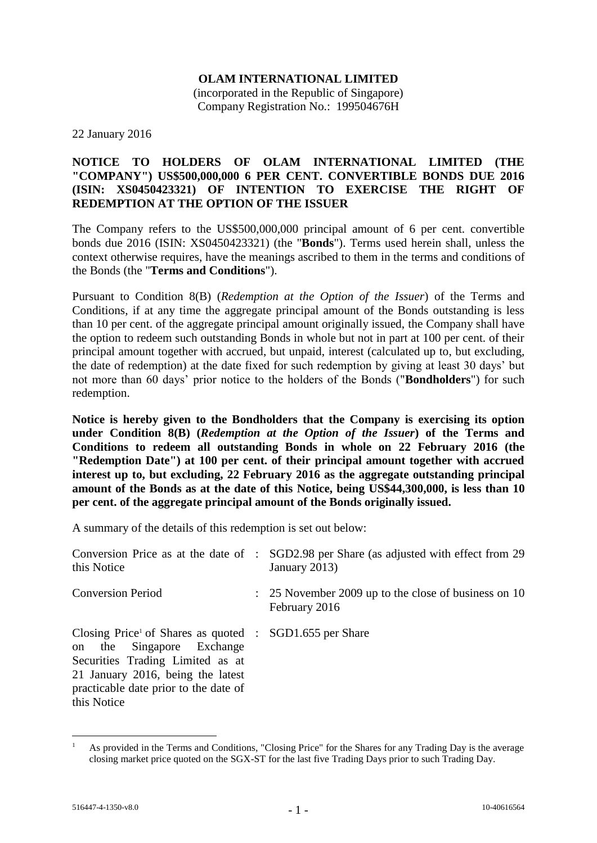## **OLAM INTERNATIONAL LIMITED** (incorporated in the Republic of Singapore) Company Registration No.: 199504676H

22 January 2016

## **NOTICE TO HOLDERS OF OLAM INTERNATIONAL LIMITED (THE "COMPANY") US\$500,000,000 6 PER CENT. CONVERTIBLE BONDS DUE 2016 (ISIN: XS0450423321) OF INTENTION TO EXERCISE THE RIGHT OF REDEMPTION AT THE OPTION OF THE ISSUER**

The Company refers to the US\$500,000,000 principal amount of 6 per cent. convertible bonds due 2016 (ISIN: XS0450423321) (the "**Bonds**"). Terms used herein shall, unless the context otherwise requires, have the meanings ascribed to them in the terms and conditions of the Bonds (the "**Terms and Conditions**").

Pursuant to Condition 8(B) (*Redemption at the Option of the Issuer*) of the Terms and Conditions, if at any time the aggregate principal amount of the Bonds outstanding is less than 10 per cent. of the aggregate principal amount originally issued, the Company shall have the option to redeem such outstanding Bonds in whole but not in part at 100 per cent. of their principal amount together with accrued, but unpaid, interest (calculated up to, but excluding, the date of redemption) at the date fixed for such redemption by giving at least 30 days' but not more than 60 days' prior notice to the holders of the Bonds ("**Bondholders**") for such redemption.

**Notice is hereby given to the Bondholders that the Company is exercising its option under Condition 8(B) (***Redemption at the Option of the Issuer***) of the Terms and Conditions to redeem all outstanding Bonds in whole on 22 February 2016 (the "Redemption Date") at 100 per cent. of their principal amount together with accrued interest up to, but excluding, 22 February 2016 as the aggregate outstanding principal amount of the Bonds as at the date of this Notice, being US\$44,300,000, is less than 10 per cent. of the aggregate principal amount of the Bonds originally issued.**

A summary of the details of this redemption is set out below:

| this Notice                                                                                                                                                                                                                         | Conversion Price as at the date of : SGD2.98 per Share (as adjusted with effect from 29<br>January 2013) |
|-------------------------------------------------------------------------------------------------------------------------------------------------------------------------------------------------------------------------------------|----------------------------------------------------------------------------------------------------------|
| <b>Conversion Period</b>                                                                                                                                                                                                            | $\therefore$ 25 November 2009 up to the close of business on 10<br>February 2016                         |
| Closing Price <sup>1</sup> of Shares as quoted : $SGD1.655$ per Share<br>on the Singapore Exchange<br>Securities Trading Limited as at<br>21 January 2016, being the latest<br>practicable date prior to the date of<br>this Notice |                                                                                                          |

<sup>1</sup> As provided in the Terms and Conditions, "Closing Price" for the Shares for any Trading Day is the average closing market price quoted on the SGX-ST for the last five Trading Days prior to such Trading Day.

<u>.</u>